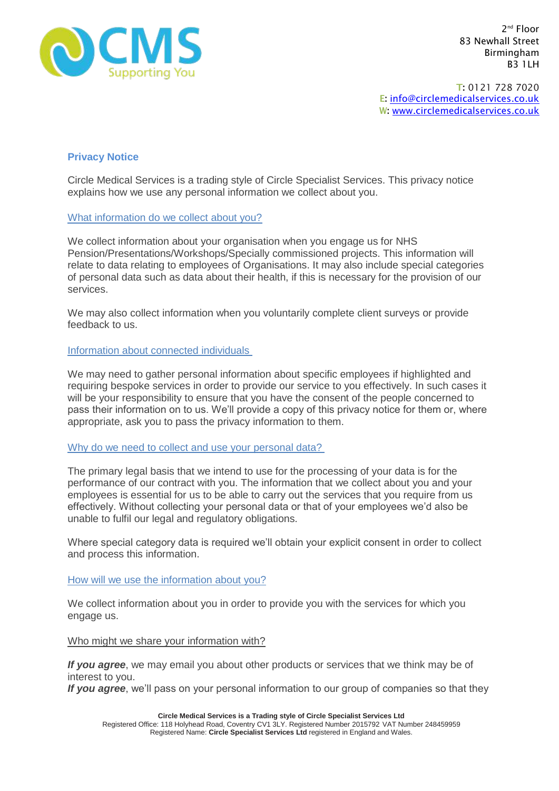

2<sup>nd</sup> Floor 83 Newhall Street Birmingham B3 1LH

T: 0121 728 7020 E: [info@circlemedicalservices.co.uk](mailto:info@circlemedicalservices.co.uk) W: [www.circlemedicalservices.co.uk](http://www.circlemedicalservices.co.uk/)

# **Privacy Notice**

Circle Medical Services is a trading style of Circle Specialist Services. This privacy notice explains how we use any personal information we collect about you.

## What information do we collect about you?

We collect information about your organisation when you engage us for NHS Pension/Presentations/Workshops/Specially commissioned projects. This information will relate to data relating to employees of Organisations. It may also include special categories of personal data such as data about their health, if this is necessary for the provision of our services.

We may also collect information when you voluntarily complete client surveys or provide feedback to us.

## Information about connected individuals

We may need to gather personal information about specific employees if highlighted and requiring bespoke services in order to provide our service to you effectively. In such cases it will be your responsibility to ensure that you have the consent of the people concerned to pass their information on to us. We'll provide a copy of this privacy notice for them or, where appropriate, ask you to pass the privacy information to them.

# Why do we need to collect and use your personal data?

The primary legal basis that we intend to use for the processing of your data is for the performance of our contract with you. The information that we collect about you and your employees is essential for us to be able to carry out the services that you require from us effectively. Without collecting your personal data or that of your employees we'd also be unable to fulfil our legal and regulatory obligations.

Where special category data is required we'll obtain your explicit consent in order to collect and process this information.

## How will we use the information about you?

We collect information about you in order to provide you with the services for which you engage us.

## Who might we share your information with?

*If you agree*, we may email you about other products or services that we think may be of interest to you.

*If you agree*, we'll pass on your personal information to our group of companies so that they

**Circle Medical Services is a Trading style of Circle Specialist Services Ltd** Registered Office: 118 Holyhead Road, Coventry CV1 3LY. Registered Number 2015792 VAT Number 248459959 Registered Name: **Circle Specialist Services Ltd** registered in England and Wales.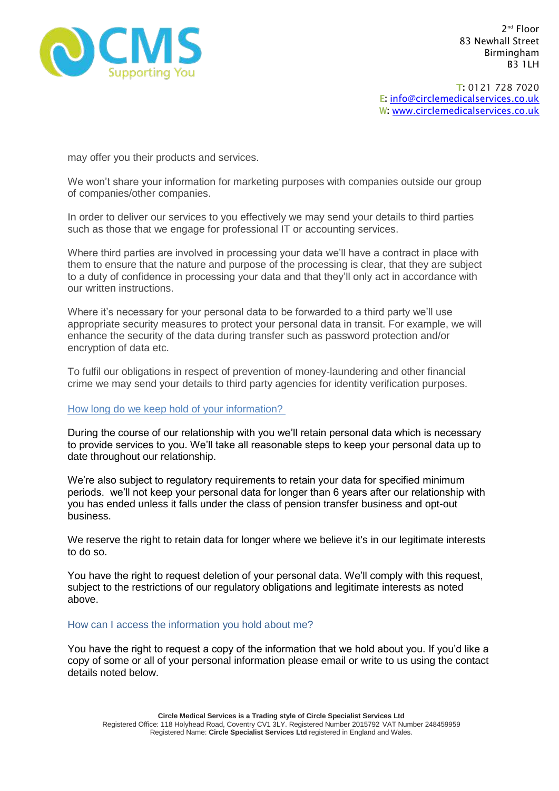

2<sup>nd</sup> Floor 83 Newhall Street Birmingham B3 1LH

T: 0121 728 7020 E: [info@circlemedicalservices.co.uk](mailto:info@circlemedicalservices.co.uk) W: [www.circlemedicalservices.co.uk](http://www.circlemedicalservices.co.uk/)

may offer you their products and services.

We won't share your information for marketing purposes with companies outside our group of companies/other companies.

In order to deliver our services to you effectively we may send your details to third parties such as those that we engage for professional IT or accounting services.

Where third parties are involved in processing your data we'll have a contract in place with them to ensure that the nature and purpose of the processing is clear, that they are subject to a duty of confidence in processing your data and that they'll only act in accordance with our written instructions.

Where it's necessary for your personal data to be forwarded to a third party we'll use appropriate security measures to protect your personal data in transit. For example, we will enhance the security of the data during transfer such as password protection and/or encryption of data etc.

To fulfil our obligations in respect of prevention of money-laundering and other financial crime we may send your details to third party agencies for identity verification purposes.

## How long do we keep hold of your information?

During the course of our relationship with you we'll retain personal data which is necessary to provide services to you. We'll take all reasonable steps to keep your personal data up to date throughout our relationship.

We're also subject to regulatory requirements to retain your data for specified minimum periods. we'll not keep your personal data for longer than 6 years after our relationship with you has ended unless it falls under the class of pension transfer business and opt-out business.

We reserve the right to retain data for longer where we believe it's in our legitimate interests to do so.

You have the right to request deletion of your personal data. We'll comply with this request, subject to the restrictions of our regulatory obligations and legitimate interests as noted above.

## How can I access the information you hold about me?

You have the right to request a copy of the information that we hold about you. If you'd like a copy of some or all of your personal information please email or write to us using the contact details noted below.